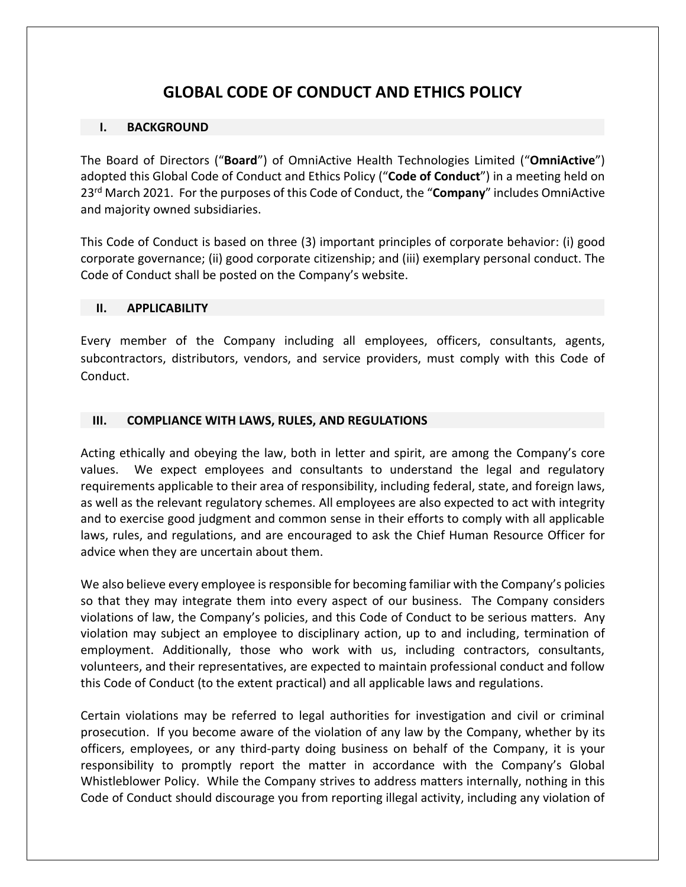# **GLOBAL CODE OF CONDUCT AND ETHICS POLICY**

#### **I. BACKGROUND**

The Board of Directors ("**Board**") of OmniActive Health Technologies Limited ("**OmniActive**") adopted this Global Code of Conduct and Ethics Policy ("**Code of Conduct**") in a meeting held on 23rd March 2021. For the purposes of this Code of Conduct, the "**Company**" includes OmniActive and majority owned subsidiaries.

This Code of Conduct is based on three (3) important principles of corporate behavior: (i) good corporate governance; (ii) good corporate citizenship; and (iii) exemplary personal conduct. The Code of Conduct shall be posted on the Company's website.

#### **II. APPLICABILITY**

Every member of the Company including all employees, officers, consultants, agents, subcontractors, distributors, vendors, and service providers, must comply with this Code of Conduct.

#### **III. COMPLIANCE WITH LAWS, RULES, AND REGULATIONS**

Acting ethically and obeying the law, both in letter and spirit, are among the Company's core values. We expect employees and consultants to understand the legal and regulatory requirements applicable to their area of responsibility, including federal, state, and foreign laws, as well as the relevant regulatory schemes. All employees are also expected to act with integrity and to exercise good judgment and common sense in their efforts to comply with all applicable laws, rules, and regulations, and are encouraged to ask the Chief Human Resource Officer for advice when they are uncertain about them.

We also believe every employee is responsible for becoming familiar with the Company's policies so that they may integrate them into every aspect of our business. The Company considers violations of law, the Company's policies, and this Code of Conduct to be serious matters. Any violation may subject an employee to disciplinary action, up to and including, termination of employment. Additionally, those who work with us, including contractors, consultants, volunteers, and their representatives, are expected to maintain professional conduct and follow this Code of Conduct (to the extent practical) and all applicable laws and regulations.

Certain violations may be referred to legal authorities for investigation and civil or criminal prosecution. If you become aware of the violation of any law by the Company, whether by its officers, employees, or any third-party doing business on behalf of the Company, it is your responsibility to promptly report the matter in accordance with the Company's Global Whistleblower Policy. While the Company strives to address matters internally, nothing in this Code of Conduct should discourage you from reporting illegal activity, including any violation of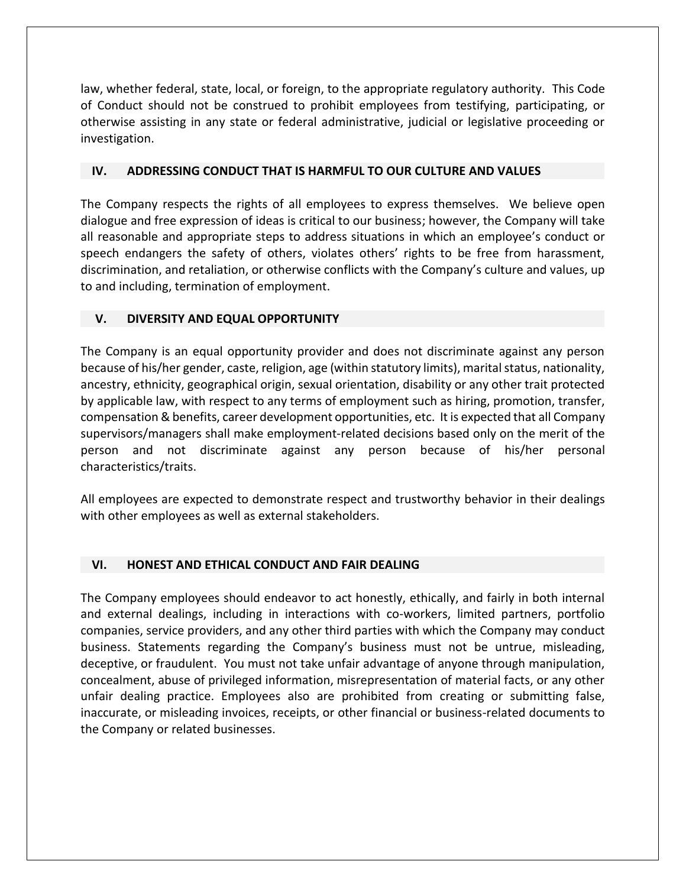law, whether federal, state, local, or foreign, to the appropriate regulatory authority. This Code of Conduct should not be construed to prohibit employees from testifying, participating, or otherwise assisting in any state or federal administrative, judicial or legislative proceeding or investigation.

#### **IV. ADDRESSING CONDUCT THAT IS HARMFUL TO OUR CULTURE AND VALUES**

The Company respects the rights of all employees to express themselves. We believe open dialogue and free expression of ideas is critical to our business; however, the Company will take all reasonable and appropriate steps to address situations in which an employee's conduct or speech endangers the safety of others, violates others' rights to be free from harassment, discrimination, and retaliation, or otherwise conflicts with the Company's culture and values, up to and including, termination of employment.

#### **V. DIVERSITY AND EQUAL OPPORTUNITY**

The Company is an equal opportunity provider and does not discriminate against any person because of his/her gender, caste, religion, age (within statutory limits), marital status, nationality, ancestry, ethnicity, geographical origin, sexual orientation, disability or any other trait protected by applicable law, with respect to any terms of employment such as hiring, promotion, transfer, compensation & benefits, career development opportunities, etc. It is expected that all Company supervisors/managers shall make employment-related decisions based only on the merit of the person and not discriminate against any person because of his/her personal characteristics/traits.

All employees are expected to demonstrate respect and trustworthy behavior in their dealings with other employees as well as external stakeholders.

#### **VI. HONEST AND ETHICAL CONDUCT AND FAIR DEALING**

The Company employees should endeavor to act honestly, ethically, and fairly in both internal and external dealings, including in interactions with co-workers, limited partners, portfolio companies, service providers, and any other third parties with which the Company may conduct business. Statements regarding the Company's business must not be untrue, misleading, deceptive, or fraudulent. You must not take unfair advantage of anyone through manipulation, concealment, abuse of privileged information, misrepresentation of material facts, or any other unfair dealing practice. Employees also are prohibited from creating or submitting false, inaccurate, or misleading invoices, receipts, or other financial or business-related documents to the Company or related businesses.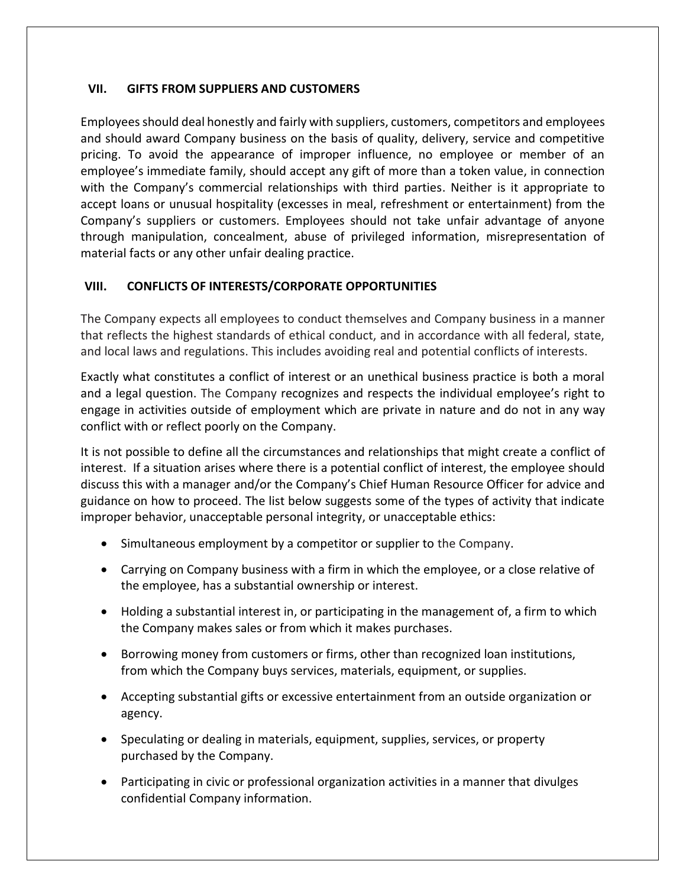### **VII. GIFTS FROM SUPPLIERS AND CUSTOMERS**

Employees should deal honestly and fairly with suppliers, customers, competitors and employees and should award Company business on the basis of quality, delivery, service and competitive pricing. To avoid the appearance of improper influence, no employee or member of an employee's immediate family, should accept any gift of more than a token value, in connection with the Company's commercial relationships with third parties. Neither is it appropriate to accept loans or unusual hospitality (excesses in meal, refreshment or entertainment) from the Company's suppliers or customers. Employees should not take unfair advantage of anyone through manipulation, concealment, abuse of privileged information, misrepresentation of material facts or any other unfair dealing practice.

# **VIII. CONFLICTS OF INTERESTS/CORPORATE OPPORTUNITIES**

The Company expects all employees to conduct themselves and Company business in a manner that reflects the highest standards of ethical conduct, and in accordance with all federal, state, and local laws and regulations. This includes avoiding real and potential conflicts of interests.

Exactly what constitutes a conflict of interest or an unethical business practice is both a moral and a legal question. The Company recognizes and respects the individual employee's right to engage in activities outside of employment which are private in nature and do not in any way conflict with or reflect poorly on the Company.

It is not possible to define all the circumstances and relationships that might create a conflict of interest. If a situation arises where there is a potential conflict of interest, the employee should discuss this with a manager and/or the Company's Chief Human Resource Officer for advice and guidance on how to proceed. The list below suggests some of the types of activity that indicate improper behavior, unacceptable personal integrity, or unacceptable ethics:

- Simultaneous employment by a competitor or supplier to the Company.
- Carrying on Company business with a firm in which the employee, or a close relative of the employee, has a substantial ownership or interest.
- Holding a substantial interest in, or participating in the management of, a firm to which the Company makes sales or from which it makes purchases.
- Borrowing money from customers or firms, other than recognized loan institutions, from which the Company buys services, materials, equipment, or supplies.
- Accepting substantial gifts or excessive entertainment from an outside organization or agency.
- Speculating or dealing in materials, equipment, supplies, services, or property purchased by the Company.
- Participating in civic or professional organization activities in a manner that divulges confidential Company information.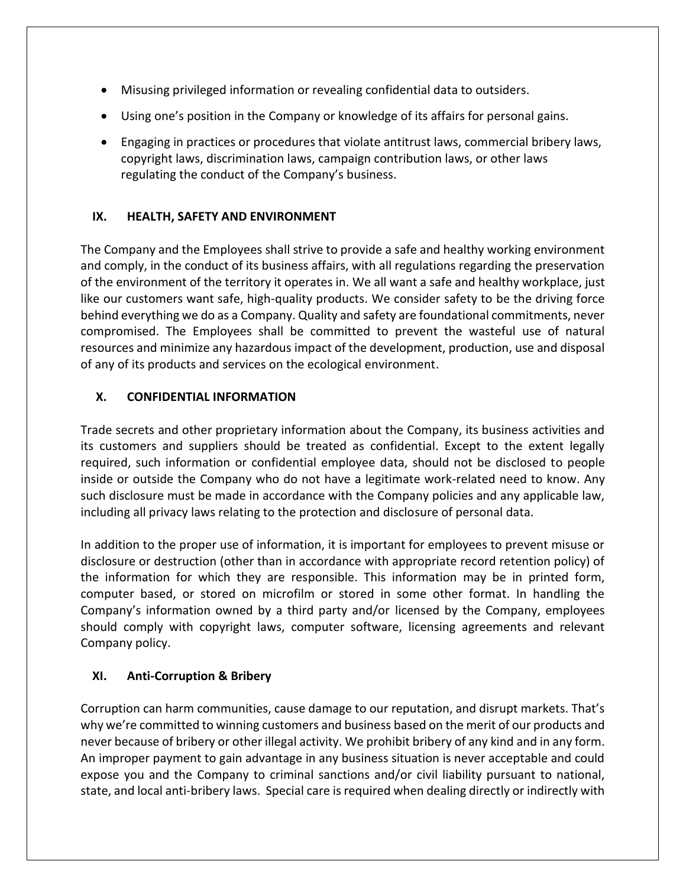- Misusing privileged information or revealing confidential data to outsiders.
- Using one's position in the Company or knowledge of its affairs for personal gains.
- Engaging in practices or procedures that violate antitrust laws, commercial bribery laws, copyright laws, discrimination laws, campaign contribution laws, or other laws regulating the conduct of the Company's business.

# **IX. HEALTH, SAFETY AND ENVIRONMENT**

The Company and the Employees shall strive to provide a safe and healthy working environment and comply, in the conduct of its business affairs, with all regulations regarding the preservation of the environment of the territory it operates in. We all want a safe and healthy workplace, just like our customers want safe, high-quality products. We consider safety to be the driving force behind everything we do as a Company. Quality and safety are foundational commitments, never compromised. The Employees shall be committed to prevent the wasteful use of natural resources and minimize any hazardous impact of the development, production, use and disposal of any of its products and services on the ecological environment.

# **X. CONFIDENTIAL INFORMATION**

Trade secrets and other proprietary information about the Company, its business activities and its customers and suppliers should be treated as confidential. Except to the extent legally required, such information or confidential employee data, should not be disclosed to people inside or outside the Company who do not have a legitimate work-related need to know. Any such disclosure must be made in accordance with the Company policies and any applicable law, including all privacy laws relating to the protection and disclosure of personal data.

In addition to the proper use of information, it is important for employees to prevent misuse or disclosure or destruction (other than in accordance with appropriate record retention policy) of the information for which they are responsible. This information may be in printed form, computer based, or stored on microfilm or stored in some other format. In handling the Company's information owned by a third party and/or licensed by the Company, employees should comply with copyright laws, computer software, licensing agreements and relevant Company policy.

# **XI. Anti-Corruption & Bribery**

Corruption can harm communities, cause damage to our reputation, and disrupt markets. That's why we're committed to winning customers and business based on the merit of our products and never because of bribery or other illegal activity. We prohibit bribery of any kind and in any form. An improper payment to gain advantage in any business situation is never acceptable and could expose you and the Company to criminal sanctions and/or civil liability pursuant to national, state, and local anti-bribery laws. Special care is required when dealing directly or indirectly with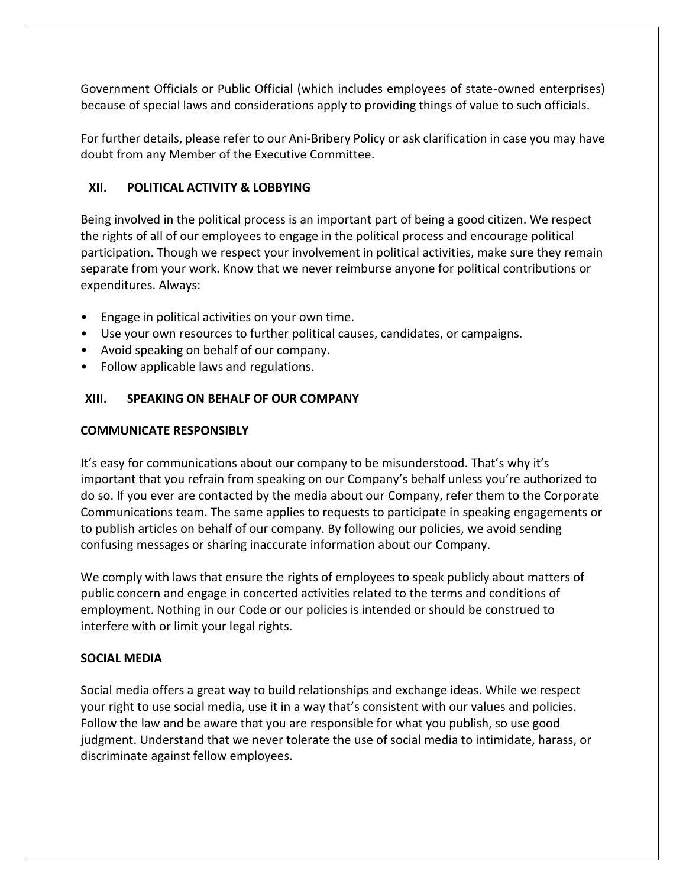Government Officials or Public Official (which includes employees of state-owned enterprises) because of special laws and considerations apply to providing things of value to such officials.

For further details, please refer to our Ani-Bribery Policy or ask clarification in case you may have doubt from any Member of the Executive Committee.

# **XII. POLITICAL ACTIVITY & LOBBYING**

Being involved in the political process is an important part of being a good citizen. We respect the rights of all of our employees to engage in the political process and encourage political participation. Though we respect your involvement in political activities, make sure they remain separate from your work. Know that we never reimburse anyone for political contributions or expenditures. Always:

- Engage in political activities on your own time.
- Use your own resources to further political causes, candidates, or campaigns.
- Avoid speaking on behalf of our company.
- Follow applicable laws and regulations.

# **XIII. SPEAKING ON BEHALF OF OUR COMPANY**

### **COMMUNICATE RESPONSIBLY**

It's easy for communications about our company to be misunderstood. That's why it's important that you refrain from speaking on our Company's behalf unless you're authorized to do so. If you ever are contacted by the media about our Company, refer them to the Corporate Communications team. The same applies to requests to participate in speaking engagements or to publish articles on behalf of our company. By following our policies, we avoid sending confusing messages or sharing inaccurate information about our Company.

We comply with laws that ensure the rights of employees to speak publicly about matters of public concern and engage in concerted activities related to the terms and conditions of employment. Nothing in our Code or our policies is intended or should be construed to interfere with or limit your legal rights.

# **SOCIAL MEDIA**

Social media offers a great way to build relationships and exchange ideas. While we respect your right to use social media, use it in a way that's consistent with our values and policies. Follow the law and be aware that you are responsible for what you publish, so use good judgment. Understand that we never tolerate the use of social media to intimidate, harass, or discriminate against fellow employees.